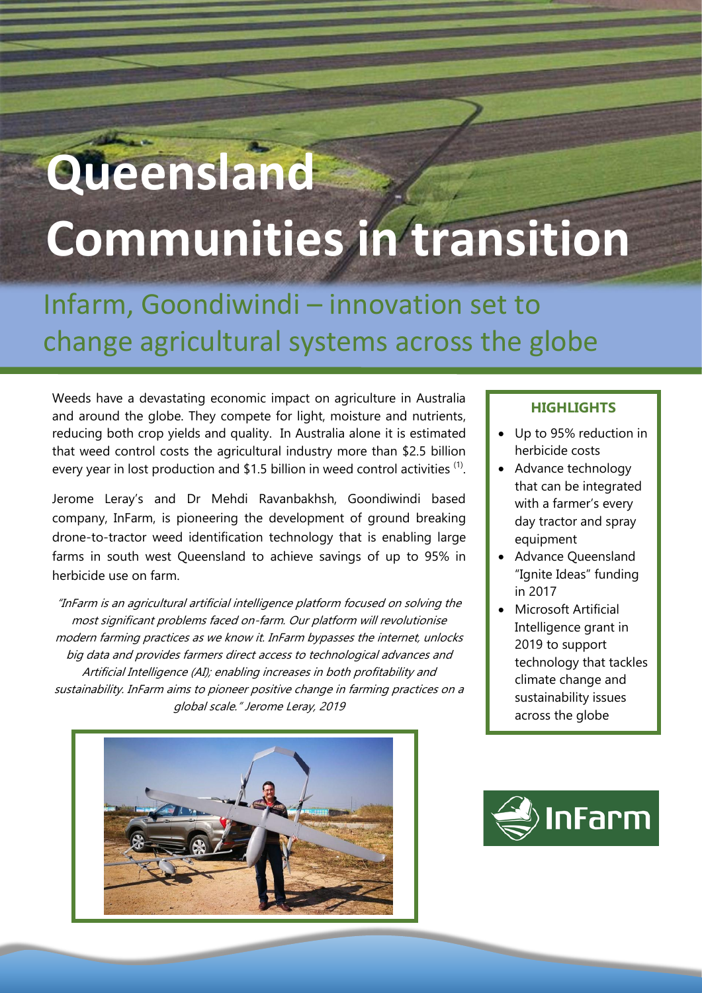# **Queensland Communities in transition**

## Infarm, Goondiwindi – innovation set to change agricultural systems across the globe

Weeds have a devastating economic impact on agriculture in Australia and around the globe. They compete for light, moisture and nutrients, reducing both crop yields and quality. In Australia alone it is estimated that weed control costs the agricultural industry more than \$2.5 billion every year in lost production and \$1.5 billion in weed control activities  $(1)$ .

Jerome Leray's and Dr Mehdi Ravanbakhsh, Goondiwindi based company, InFarm, is pioneering the development of ground breaking drone-to-tractor weed identification technology that is enabling large farms in south west Queensland to achieve savings of up to 95% in herbicide use on farm.

"InFarm is an agricultural artificial intelligence platform focused on solving the most significant problems faced on-farm. Our platform will revolutionise modern farming practices as we know it. InFarm bypasses the internet, unlocks big data and provides farmers direct access to technological advances and Artificial Intelligence (AI); enabling increases in both profitability and sustainability. InFarm aims to pioneer positive change in farming practices on a global scale." Jerome Leray, 2019



### **HIGHLIGHTS**

- Up to 95% reduction in herbicide costs
- Advance technology that can be integrated with a farmer's every day tractor and spray equipment
- Advance Queensland "Ignite Ideas" funding in 2017
- Microsoft Artificial Intelligence grant in 2019 to support technology that tackles climate change and sustainability issues across the globe